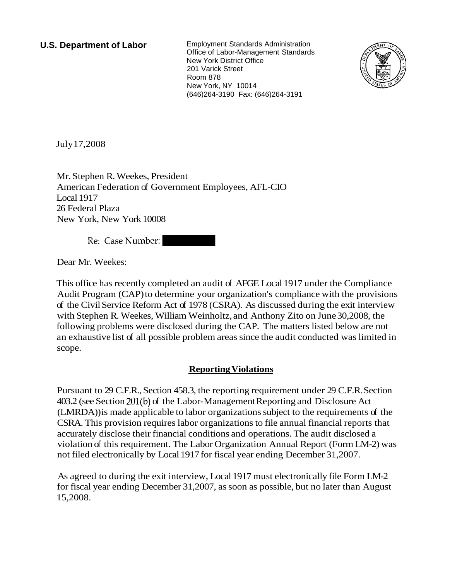**U.S. Department of Labor** Employment Standards Administration Office of Labor-Management Standards New York District Office 201 Varick Street Room 878 New York, NY 10014 (646)264-3190 Fax: (646)264-3191



July 17,2008

Mr. Stephen R. Weekes, President American Federation of Government Employees, AFL-CIO Local 1917 26 Federal Plaza New York, New York 10008

Re: Case Number:

Dear Mr. Weekes:

This office has recently completed an audit of AFGE Local 1917 under the Compliance Audit Program (CAP) to determine your organization's compliance with the provisions of the Civil Service Reform Act of 1978 (CSRA). As discussed during the exit interview with Stephen R. Weekes, William Weinholtz, and Anthony Zito on June 30,2008, the following problems were disclosed during the CAP. The matters listed below are not an exhaustive list of all possible problem areas since the audit conducted was limited in scope.

## **Reporting Violations**

Pursuant to 29 C.F.R., Section 458.3, the reporting requirement under 29 C.F.R. Section 403.2 (see Section 201(b) of the Labor-Management Reporting and Disclosure Act (LMRDA)) is made applicable to labor organizations subject to the requirements of the CSRA. This provision requires labor organizations to file annual financial reports that accurately disclose their financial conditions and operations. The audit disclosed a violation of this requirement. The Labor Organization Annual Report (Form LM-2) was not filed electronically by Local 1917 for fiscal year ending December 31,2007.

As agreed to during the exit interview, Local 1917 must electronically file Form LM-2 for fiscal year ending December 31,2007, as soon as possible, but no later than August 15,2008.